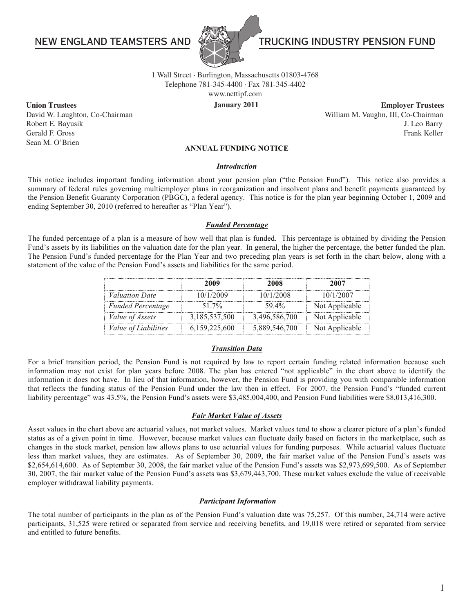# **NEW ENGLAND TEAMSTERS AND**



# TRUCKING INDUSTRY PENSION FUND

Telephone 781-345-4400 · Fax 781-345-4402 1 Wall Street · Burlington, Massachusetts 01803-4768

www.nettipf.com

January 2011 David W. Laughton, Co-Chairman William M. Vaughn, III, Co-Chairman **Union Trustees Employer Trustees** Robert E. Bayusik J. Leo Barry Gerald F. Gross Frank Keller

### **ANNUAL FUNDING NOTICE**

### *Introduction*

This notice includes important funding information about your pension plan ("the Pension Fund"). This notice also provides a summary of federal rules governing multiemployer plans in reorganization and insolvent plans and benefit payments guaranteed by the Pension Benefit Guaranty Corporation (PBGC), a federal agency. This notice is for the plan year beginning October 1, 2009 and ending September 30, 2010 (referred to hereafter as "Plan Year").

## *Funded Percentage*

The funded percentage of a plan is a measure of how well that plan is funded. This percentage is obtained by dividing the Pension Fund's assets by its liabilities on the valuation date for the plan year. In general, the higher the percentage, the better funded the plan. The Pension Fund's funded percentage for the Plan Year and two preceding plan years is set forth in the chart below, along with a statement of the value of the Pension Fund's assets and liabilities for the same period.

|                             | 2009          | 2008          | 2007           |
|-----------------------------|---------------|---------------|----------------|
| <i>Valuation Date</i>       | 10/1/2009     | 10/1/2008     | 10/1/2007      |
| <b>Funded Percentage</b>    | 51 7%         | 59.4%         | Not Applicable |
| <i>Value of Assets</i>      | 3,185,537,500 | 3,496,586,700 | Not Applicable |
| <i>Value of Liabilities</i> | 6,159,225,600 | 5,889,546,700 | Not Applicable |

### *Transition Data*

For a brief transition period, the Pension Fund is not required by law to report certain funding related information because such information may not exist for plan years before 2008. The plan has entered "not applicable" in the chart above to identify the information it does not have. In lieu of that information, however, the Pension Fund is providing you with comparable information that reflects the funding status of the Pension Fund under the law then in effect. For 2007, the Pension Fund's "funded current liability percentage" was 43.5%, the Pension Fund's assets were \$3,485,004,400, and Pension Fund liabilities were \$8,013,416,300.

#### *Fair Market Value of Assets*

Asset values in the chart above are actuarial values, not market values. Market values tend to show a clearer picture of a plan's funded status as of a given point in time. However, because market values can fluctuate daily based on factors in the marketplace, such as changes in the stock market, pension law allows plans to use actuarial values for funding purposes. While actuarial values fluctuate less than market values, they are estimates. As of September 30, 2009, the fair market value of the Pension Fund's assets was \$2,654,614,600. As of September 30, 2008, the fair market value of the Pension Fund's assets was \$2,973,699,500. As of September 30, 2007, the fair market value of the Pension Fund's assets was \$3,679,443,700. These market values exclude the value of receivable employer withdrawal liability payments.

## *Participant Information*

The total number of participants in the plan as of the Pension Fund's valuation date was 75,257. Of this number, 24,714 were active participants, 31,525 were retired or separated from service and receiving benefits, and 19,018 were retired or separated from service and entitled to future benefits.

1

Sean M. O'Brien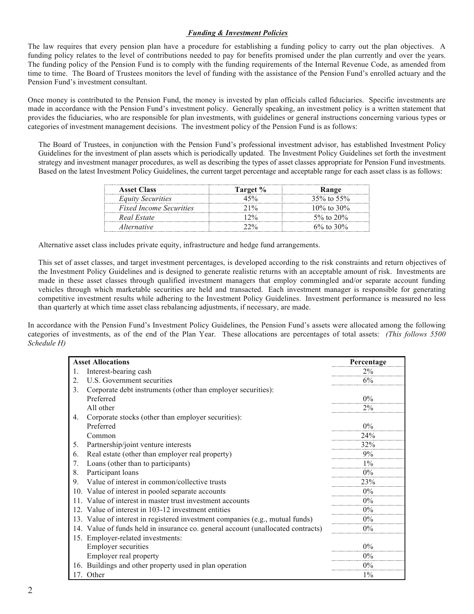## *Funding & Investment Policies*

The law requires that every pension plan have a procedure for establishing a funding policy to carry out the plan objectives. A funding policy relates to the level of contributions needed to pay for benefits promised under the plan currently and over the years. The funding policy of the Pension Fund is to comply with the funding requirements of the Internal Revenue Code, as amended from time to time. The Board of Trustees monitors the level of funding with the assistance of the Pension Fund's enrolled actuary and the Pension Fund's investment consultant.

Once money is contributed to the Pension Fund, the money is invested by plan officials called fiduciaries. Specific investments are made in accordance with the Pension Fund's investment policy. Generally speaking, an investment policy is a written statement that provides the fiduciaries, who are responsible for plan investments, with guidelines or general instructions concerning various types or categories of investment management decisions. The investment policy of the Pension Fund is as follows:

 The Board of Trustees, in conjunction with the Pension Fund's professional investment advisor, has established Investment Policy Guidelines for the investment of plan assets which is periodically updated. The Investment Policy Guidelines set forth the investment strategy and investment manager procedures, as well as describing the types of asset classes appropriate for Pension Fund investments. Based on the latest Investment Policy Guidelines, the current target percentage and acceptable range for each asset class is as follows:

| <b>Asset Class</b>             | Target % | <b>Range</b>     |
|--------------------------------|----------|------------------|
| <b>Equity Securities</b>       |          | 35% to 55%       |
| <i>Fixed Income Securities</i> |          | $10\%$ to $30\%$ |
| Real Estate                    |          | 5\% to 20\%      |
| <i>Alternative</i>             |          | 6\% to 30\%      |

Alternative asset class includes private equity, infrastructure and hedge fund arrangements.

This set of asset classes, and target investment percentages, is developed according to the risk constraints and return objectives of the Investment Policy Guidelines and is designed to generate realistic returns with an acceptable amount of risk. Investments are made in these asset classes through qualified investment managers that employ commingled and/or separate account funding vehicles through which marketable securities are held and transacted. Each investment manager is responsible for generating competitive investment results while adhering to the Investment Policy Guidelines. Investment performance is measured no less than quarterly at which time asset class rebalancing adjustments, if necessary, are made.

In accordance with the Pension Fund's Investment Policy Guidelines, the Pension Fund's assets were allocated among the following categories of investments, as of the end of the Plan Year. These allocations are percentages of total assets: *(This follows 5500 Schedule H)*

| <b>Asset Allocations</b>                             |                                                                                  | Percentage |
|------------------------------------------------------|----------------------------------------------------------------------------------|------------|
| 1.                                                   | Interest-bearing cash                                                            | $2\%$      |
| 2.                                                   | U.S. Government securities                                                       | 6%         |
| 3.                                                   | Corporate debt instruments (other than employer securities):                     |            |
|                                                      | Preferred                                                                        | $0\%$      |
|                                                      | All other                                                                        | $2\%$      |
| 4.                                                   | Corporate stocks (other than employer securities):                               |            |
|                                                      | Preferred                                                                        | $0\%$      |
|                                                      | Common                                                                           | 24%        |
| 5.                                                   | Partnership/joint venture interests                                              | 32%        |
| 6.                                                   | Real estate (other than employer real property)                                  | 9%         |
| 7.                                                   | Loans (other than to participants)                                               | $1\%$      |
| 8.                                                   | Participant loans                                                                | $0\%$      |
| 9.                                                   | Value of interest in common/collective trusts                                    | 23%        |
| Value of interest in pooled separate accounts<br>10. |                                                                                  | $0\%$      |
| 11                                                   | Value of interest in master trust investment accounts                            | $0\%$      |
| 12. Value of interest in 103-12 investment entities  |                                                                                  | $0\%$      |
|                                                      | 13. Value of interest in registered investment companies (e.g., mutual funds)    | $0\%$      |
|                                                      | 14. Value of funds held in insurance co. general account (unallocated contracts) | $0\%$      |
|                                                      | 15. Employer-related investments:                                                |            |
|                                                      | <b>Employer securities</b>                                                       | $0\%$      |
|                                                      | Employer real property                                                           | $0\%$      |
|                                                      | 16. Buildings and other property used in plan operation                          | $0\%$      |
|                                                      | 17. Other                                                                        | $1\%$      |